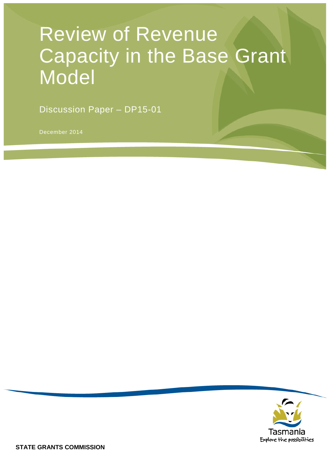# Review of Revenue Capacity in the Base Grant Model

Discussion Paper – DP15-01

December 2014

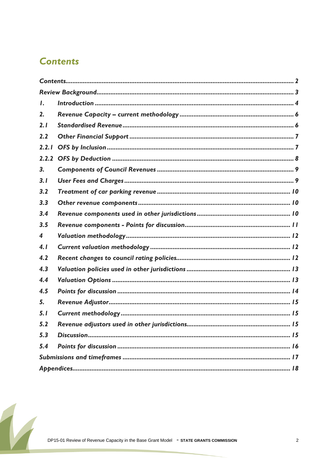### <span id="page-1-0"></span>**Contents**

| $\mathbf{I}$ .          |  |
|-------------------------|--|
| 2.                      |  |
| 2.1                     |  |
| 2.2                     |  |
| 2.2.1                   |  |
| 2.2.2                   |  |
| 3.                      |  |
| 3.1                     |  |
| 3.2                     |  |
| 3.3                     |  |
| 3.4                     |  |
| 3.5                     |  |
| $\overline{\mathbf{4}}$ |  |
| 4.1                     |  |
| 4.2                     |  |
| 4.3                     |  |
| 4.4                     |  |
| 4.5                     |  |
| 5.                      |  |
| 5.1                     |  |
| 5.2                     |  |
| 5.3                     |  |
| 5.4                     |  |
|                         |  |
|                         |  |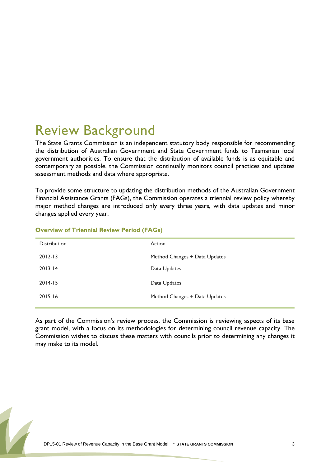## <span id="page-2-0"></span>Review Background

The State Grants Commission is an independent statutory body responsible for recommending the distribution of Australian Government and State Government funds to Tasmanian local government authorities. To ensure that the distribution of available funds is as equitable and contemporary as possible, the Commission continually monitors council practices and updates assessment methods and data where appropriate.

To provide some structure to updating the distribution methods of the Australian Government Financial Assistance Grants (FAGs), the Commission operates a triennial review policy whereby major method changes are introduced only every three years, with data updates and minor changes applied every year.

| <b>Distribution</b> | Action                        |
|---------------------|-------------------------------|
| $2012 - 13$         | Method Changes + Data Updates |
| $2013 - 14$         | Data Updates                  |
| $2014 - 15$         | Data Updates                  |
| $2015 - 16$         | Method Changes + Data Updates |
|                     |                               |

#### **Overview of Triennial Review Period (FAGs)**

<span id="page-2-1"></span>As part of the Commission's review process, the Commission is reviewing aspects of its base grant model, with a focus on its methodologies for determining council revenue capacity. The Commission wishes to discuss these matters with councils prior to determining any changes it may make to its model.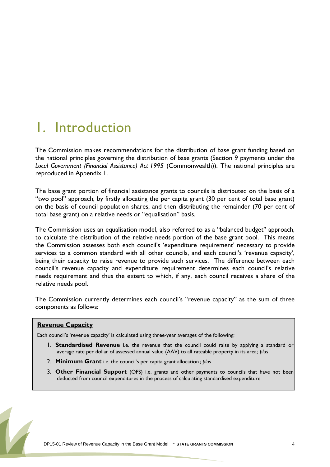## <span id="page-3-0"></span>1. Introduction

The Commission makes recommendations for the distribution of base grant funding based on the national principles governing the distribution of base grants (Section 9 payments under the *Local Government (Financial Assistance) Act 1995* (Commonwealth)). The national principles are reproduced in Appendix 1.

The base grant portion of financial assistance grants to councils is distributed on the basis of a "two pool" approach, by firstly allocating the per capita grant (30 per cent of total base grant) on the basis of council population shares, and then distributing the remainder (70 per cent of total base grant) on a relative needs or "equalisation" basis.

The Commission uses an equalisation model, also referred to as a "balanced budget" approach, to calculate the distribution of the relative needs portion of the base grant pool. This means the Commission assesses both each council's 'expenditure requirement' necessary to provide services to a common standard with all other councils, and each council's 'revenue capacity', being their capacity to raise revenue to provide such services. The difference between each council's revenue capacity and expenditure requirement determines each council's relative needs requirement and thus the extent to which, if any, each council receives a share of the relative needs pool.

The Commission currently determines each council's "revenue capacity" as the sum of three components as follows:

#### **Revenue Capacity**

Each council's 'revenue capacity' is calculated using three-year averages of the following:

- 1. **Standardised Revenue** i.e. the revenue that the council could raise by applying a standard or average rate per dollar of assessed annual value (AAV) to all rateable property in its area; *plus*
- 2. **Minimum Grant** i.e. the council's per capita grant allocation.; *plus*
- 3. **Other Financial Support** (OFS) i.e. grants and other payments to councils that have not been deducted from council expenditures in the process of calculating standardised expenditure.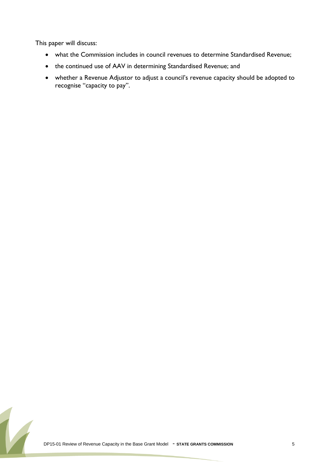This paper will discuss:

- what the Commission includes in council revenues to determine Standardised Revenue;
- the continued use of AAV in determining Standardised Revenue; and
- whether a Revenue Adjustor to adjust a council's revenue capacity should be adopted to recognise "capacity to pay".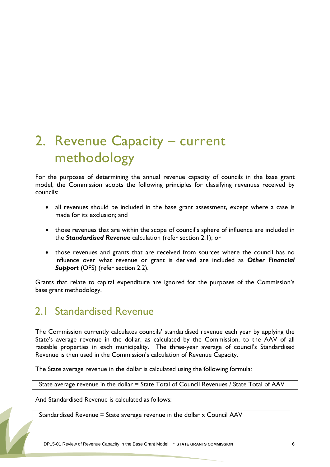## <span id="page-5-0"></span>2. Revenue Capacity – current methodology

For the purposes of determining the annual revenue capacity of councils in the base grant model, the Commission adopts the following principles for classifying revenues received by councils:

- all revenues should be included in the base grant assessment, except where a case is made for its exclusion; and
- those revenues that are within the scope of council's sphere of influence are included in the *Standardised Revenue* calculation (refer section 2.1); or
- those revenues and grants that are received from sources where the council has no influence over what revenue or grant is derived are included as *Other Financial Support* (OFS) (refer section 2.2).

Grants that relate to capital expenditure are ignored for the purposes of the Commission's base grant methodology.

### <span id="page-5-1"></span>2.1 Standardised Revenue

The Commission currently calculates councils' standardised revenue each year by applying the State's average revenue in the dollar, as calculated by the Commission, to the AAV of all rateable properties in each municipality. The three-year average of council's Standardised Revenue is then used in the Commission's calculation of Revenue Capacity.

The State average revenue in the dollar is calculated using the following formula:

State average revenue in the dollar = State Total of Council Revenues / State Total of AAV

And Standardised Revenue is calculated as follows:

Standardised Revenue = State average revenue in the dollar x Council AAV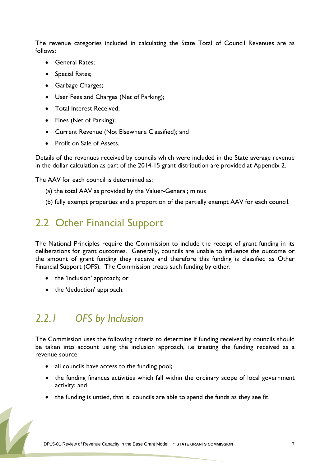The revenue categories included in calculating the State Total of Council Revenues are as follows:

- General Rates;
- Special Rates;
- Garbage Charges;
- User Fees and Charges (Net of Parking);
- Total Interest Received;
- Fines (Net of Parking);
- Current Revenue (Not Elsewhere Classified); and
- Profit on Sale of Assets.

Details of the revenues received by councils which were included in the State average revenue in the dollar calculation as part of the 2014-15 grant distribution are provided at Appendix 2.

The AAV for each council is determined as:

- (a) the total AAV as provided by the Valuer-General; minus
- (b) fully exempt properties and a proportion of the partially exempt AAV for each council.

### <span id="page-6-0"></span>2.2 Other Financial Support

The National Principles require the Commission to include the receipt of grant funding in its deliberations for grant outcomes. Generally, councils are unable to influence the outcome or the amount of grant funding they receive and therefore this funding is classified as Other Financial Support (OFS). The Commission treats such funding by either:

- the 'inclusion' approach; or
- the 'deduction' approach.

### <span id="page-6-1"></span>*2.2.1 OFS by Inclusion*

The Commission uses the following criteria to determine if funding received by councils should be taken into account using the inclusion approach, i.e treating the funding received as a revenue source:

- all councils have access to the funding pool;
- the funding finances activities which fall within the ordinary scope of local government activity; and
- the funding is untied, that is, councils are able to spend the funds as they see fit.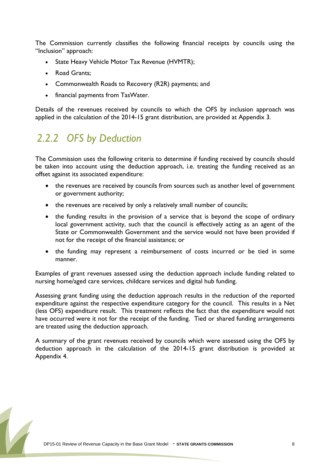The Commission currently classifies the following financial receipts by councils using the "Inclusion" approach:

- State Heavy Vehicle Motor Tax Revenue (HVMTR);
- Road Grants:
- Commonwealth Roads to Recovery (R2R) payments; and
- financial payments from TasWater.

Details of the revenues received by councils to which the OFS by inclusion approach was applied in the calculation of the 2014-15 grant distribution, are provided at Appendix 3.

## <span id="page-7-0"></span>*2.2.2 OFS by Deduction*

The Commission uses the following criteria to determine if funding received by councils should be taken into account using the deduction approach, i.e. treating the funding received as an offset against its associated expenditure:

- the revenues are received by councils from sources such as another level of government or government authority;
- the revenues are received by only a relatively small number of councils:
- the funding results in the provision of a service that is beyond the scope of ordinary local government activity, such that the council is effectively acting as an agent of the State or Commonwealth Government and the service would not have been provided if not for the receipt of the financial assistance; or
- the funding may represent a reimbursement of costs incurred or be tied in some manner.

Examples of grant revenues assessed using the deduction approach include funding related to nursing home/aged care services, childcare services and digital hub funding.

Assessing grant funding using the deduction approach results in the reduction of the reported expenditure against the respective expenditure category for the council. This results in a Net (less OFS) expenditure result. This treatment reflects the fact that the expenditure would not have occurred were it not for the receipt of the funding. Tied or shared funding arrangements are treated using the deduction approach.

A summary of the grant revenues received by councils which were assessed using the OFS by deduction approach in the calculation of the 2014-15 grant distribution is provided at Appendix 4.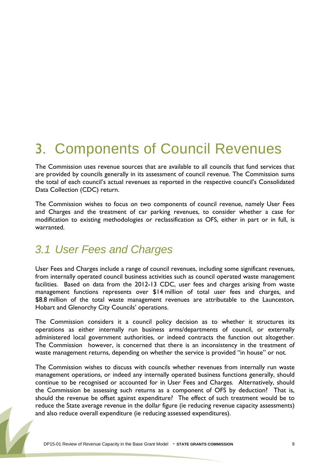## <span id="page-8-0"></span>3. Components of Council Revenues

The Commission uses revenue sources that are available to all councils that fund services that are provided by councils generally in its assessment of council revenue. The Commission sums the total of each council's actual revenues as reported in the respective council's Consolidated Data Collection (CDC) return.

The Commission wishes to focus on two components of council revenue, namely User Fees and Charges and the treatment of car parking revenues, to consider whether a case for modification to existing methodologies or reclassification as OFS, either in part or in full, is warranted.

## <span id="page-8-1"></span>*3.1 User Fees and Charges*

User Fees and Charges include a range of council revenues, including some significant revenues, from internally operated council business activities such as council operated waste management facilities. Based on data from the 2012-13 CDC, user fees and charges arising from waste management functions represents over \$14 million of total user fees and charges, and \$8.8 million of the total waste management revenues are attributable to the Launceston, Hobart and Glenorchy City Councils' operations.

The Commission considers it a council policy decision as to whether it structures its operations as either internally run business arms/departments of council, or externally administered local government authorities, or indeed contracts the function out altogether. The Commission however, is concerned that there is an inconsistency in the treatment of waste management returns, depending on whether the service is provided "in house" or not.

The Commission wishes to discuss with councils whether revenues from internally run waste management operations, or indeed any internally operated business functions generally, should continue to be recognised or accounted for in User Fees and Charges. Alternatively, should the Commission be assessing such returns as a component of OFS by deduction? That is, should the revenue be offset against expenditure? The effect of such treatment would be to reduce the State average revenue in the dollar figure (ie reducing revenue capacity assessments) and also reduce overall expenditure (ie reducing assessed expenditures).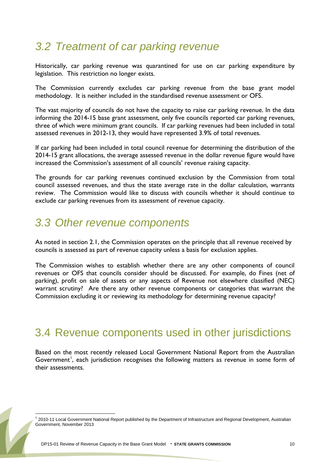### <span id="page-9-0"></span>*3.2 Treatment of car parking revenue*

Historically, car parking revenue was quarantined for use on car parking expenditure by legislation. This restriction no longer exists.

The Commission currently excludes car parking revenue from the base grant model methodology. It is neither included in the standardised revenue assessment or OFS.

The vast majority of councils do not have the capacity to raise car parking revenue. In the data informing the 2014-15 base grant assessment, only five councils reported car parking revenues, three of which were minimum grant councils. If car parking revenues had been included in total assessed revenues in 2012-13, they would have represented 3.9% of total revenues.

If car parking had been included in total council revenue for determining the distribution of the 2014-15 grant allocations, the average assessed revenue in the dollar revenue figure would have increased the Commission's assessment of all councils' revenue raising capacity.

The grounds for car parking revenues continued exclusion by the Commission from total council assessed revenues, and thus the state average rate in the dollar calculation, warrants review. The Commission would like to discuss with councils whether it should continue to exclude car parking revenues from its assessment of revenue capacity.

### <span id="page-9-1"></span>*3.3 Other revenue components*

As noted in section 2.1, the Commission operates on the principle that all revenue received by councils is assessed as part of revenue capacity unless a basis for exclusion applies.

The Commission wishes to establish whether there are any other components of council revenues or OFS that councils consider should be discussed. For example, do Fines (net of parking), profit on sale of assets or any aspects of Revenue not elsewhere classified (NEC) warrant scrutiny? Are there any other revenue components or categories that warrant the Commission excluding it or reviewing its methodology for determining revenue capacity?

#### <span id="page-9-2"></span>3.4 Revenue components used in other jurisdictions

Based on the most recently released Local Government National Report from the Australian Government<sup>[1](#page-2-1)</sup>, each jurisdiction recognises the following matters as revenue in some form of their assessments.

<span id="page-9-3"></span><sup>&</sup>lt;sup>1</sup> 2010-11 Local Government National Report published by the Department of Infrastructure and Regional Development, Australian Government, November 2013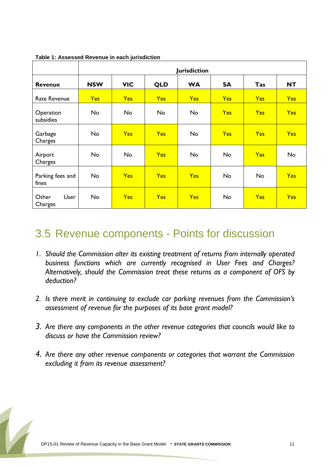|                           | <b>Jurisdiction</b> |            |            |            |            |            |            |  |  |  |  |
|---------------------------|---------------------|------------|------------|------------|------------|------------|------------|--|--|--|--|
| <b>Revenue</b>            | <b>NSW</b>          | <b>VIC</b> | <b>QLD</b> | <b>WA</b>  | <b>SA</b>  | Tas        | <b>NT</b>  |  |  |  |  |
| <b>Rate Revenue</b>       | <b>Yes</b>          | <b>Yes</b> | <b>Yes</b> | <b>Yes</b> | <b>Yes</b> | <b>Yes</b> | <b>Yes</b> |  |  |  |  |
| Operation<br>subsidies    | <b>No</b>           | No         | No         | <b>No</b>  | <b>Yes</b> | <b>Yes</b> | Yes        |  |  |  |  |
| Garbage<br>Charges        | No                  | <b>Yes</b> | <b>Yes</b> | No         | <b>Yes</b> | <b>Yes</b> | <b>Yes</b> |  |  |  |  |
| Airport<br>Charges        | <b>No</b>           | <b>No</b>  | <b>Yes</b> | <b>No</b>  | No         | <b>Yes</b> | <b>No</b>  |  |  |  |  |
| Parking fees and<br>fines | No                  | <b>Yes</b> | <b>Yes</b> | <b>Yes</b> | No         | No         | <b>Yes</b> |  |  |  |  |
| User<br>Other<br>Charges  | No                  | <b>Yes</b> | <b>Yes</b> | Yes        | No         | <b>Yes</b> | <b>Yes</b> |  |  |  |  |

**Table 1: Assessed Revenue in each jurisdiction**

### <span id="page-10-0"></span>3.5 Revenue components - Points for discussion

- *1. Should the Commission alter its existing treatment of returns from internally operated business functions which are currently recognised in User Fees and Charges? Alternatively, should the Commission treat these returns as a component of OFS by deduction?*
- *2. Is there merit in continuing to exclude car parking revenues from the Commission's assessment of revenue for the purposes of its base grant model?*
- *3. Are there any components in the other revenue categories that councils would like to discuss or have the Commission review?*
- *4. Are there any other revenue components or categories that warrant the Commission excluding it from its revenue assessment?*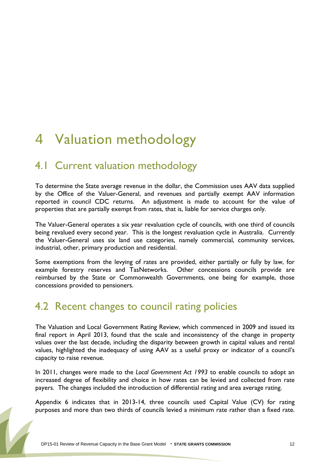## <span id="page-11-0"></span>4 Valuation methodology

### <span id="page-11-1"></span>4.1 Current valuation methodology

To determine the State average revenue in the dollar, the Commission uses AAV data supplied by the Office of the Valuer-General, and revenues and partially exempt AAV information reported in council CDC returns. An adjustment is made to account for the value of properties that are partially exempt from rates, that is, liable for service charges only.

The Valuer-General operates a six year revaluation cycle of councils, with one third of councils being revalued every second year. This is the longest revaluation cycle in Australia. Currently the Valuer-General uses six land use categories, namely commercial, community services, industrial, other, primary production and residential.

Some exemptions from the levying of rates are provided, either partially or fully by law, for example forestry reserves and TasNetworks. Other concessions councils provide are reimbursed by the State or Commonwealth Governments, one being for example, those concessions provided to pensioners.

#### <span id="page-11-2"></span>4.2 Recent changes to council rating policies

The Valuation and Local Government Rating Review, which commenced in 2009 and issued its final report in April 2013, found that the scale and inconsistency of the change in property values over the last decade, including the disparity between growth in capital values and rental values, highlighted the inadequacy of using AAV as a useful proxy or indicator of a council's capacity to raise revenue.

In 2011, changes were made to the *Local Government Act 1993* to enable councils to adopt an increased degree of flexibility and choice in how rates can be levied and collected from rate payers. The changes included the introduction of differential rating and area average rating.

Appendix 6 indicates that in 2013-14, three councils used Capital Value (CV) for rating purposes and more than two thirds of councils levied a minimum rate rather than a fixed rate.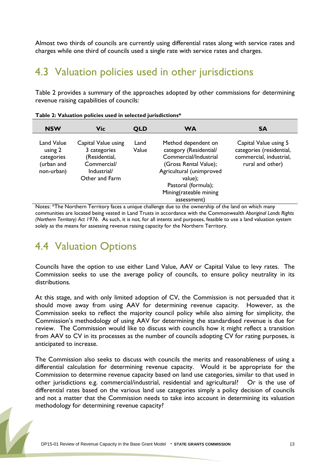Almost two thirds of councils are currently using differential rates along with service rates and charges while one third of councils used a single rate with service rates and charges.

### <span id="page-12-0"></span>4.3 Valuation policies used in other jurisdictions

Table 2 provides a summary of the approaches adopted by other commissions for determining revenue raising capabilities of councils:

| <b>NSW</b>                                                      | <b>Vic</b>                                                                                           | <b>QLD</b>    | <b>WA</b>                                                                                                                                                                                              | <b>SA</b>                                                                                        |
|-----------------------------------------------------------------|------------------------------------------------------------------------------------------------------|---------------|--------------------------------------------------------------------------------------------------------------------------------------------------------------------------------------------------------|--------------------------------------------------------------------------------------------------|
| Land Value<br>using 2<br>categories<br>(urban and<br>non-urban) | Capital Value using<br>3 categories<br>(Residential,<br>Commercial/<br>Industrial/<br>Other and Farm | Land<br>Value | Method dependent on<br>category (Residential/<br>Commercial/Industrial<br>(Gross Rental Value);<br>Agricultural (unimproved<br>value);<br>Pastoral (formula);<br>Mining(rateable mining<br>assessment) | Capital Value using 5<br>categories (residential,<br>commercial, industrial,<br>rural and other) |

|  | Table 2: Valuation policies used in selected jurisdictions* |  |
|--|-------------------------------------------------------------|--|
|--|-------------------------------------------------------------|--|

Notes: \*The Northern Territory faces a unique challenge due to the ownership of the land on which many communities are located being vested in Land Trusts in accordance with the Commonwealth *Aboriginal Lands Rights (Northern Territory) Act 1976*. As such, it is not, for all intents and purposes, feasible to use a land valuation system solely as the means for assessing revenue raising capacity for the Northern Territory.

#### <span id="page-12-1"></span>4.4 Valuation Options

Councils have the option to use either Land Value, AAV or Capital Value to levy rates. The Commission seeks to use the average policy of councils, to ensure policy neutrality in its distributions.

At this stage, and with only limited adoption of CV, the Commission is not persuaded that it should move away from using AAV for determining revenue capacity. However, as the Commission seeks to reflect the majority council policy while also aiming for simplicity, the Commission's methodology of using AAV for determining the standardised revenue is due for review. The Commission would like to discuss with councils how it might reflect a transition from AAV to CV in its processes as the number of councils adopting CV for rating purposes, is anticipated to increase.

The Commission also seeks to discuss with councils the merits and reasonableness of using a differential calculation for determining revenue capacity. Would it be appropriate for the Commission to determine revenue capacity based on land use categories, similar to that used in other jurisdictions e.g. commercial/industrial, residential and agricultural? Or is the use of differential rates based on the various land use categories simply a policy decision of councils and not a matter that the Commission needs to take into account in determining its valuation methodology for determining revenue capacity?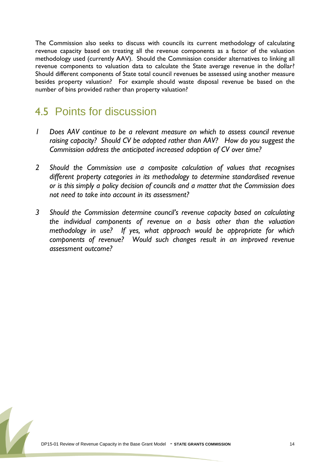The Commission also seeks to discuss with councils its current methodology of calculating revenue capacity based on treating all the revenue components as a factor of the valuation methodology used (currently AAV). Should the Commission consider alternatives to linking all revenue components to valuation data to calculate the State average revenue in the dollar? Should different components of State total council revenues be assessed using another measure besides property valuation? For example should waste disposal revenue be based on the number of bins provided rather than property valuation?

## <span id="page-13-0"></span>4.5 Points for discussion

- *1 Does AAV continue to be a relevant measure on which to assess council revenue raising capacity? Should CV be adopted rather than AAV? How do you suggest the Commission address the anticipated increased adoption of CV over time?*
- *2 Should the Commission use a composite calculation of values that recognises different property categories in its methodology to determine standardised revenue or is this simply a policy decision of councils and a matter that the Commission does not need to take into account in its assessment?*
- *3 Should the Commission determine council's revenue capacity based on calculating the individual components of revenue on a basis other than the valuation methodology in use? If yes, what approach would be appropriate for which components of revenue? Would such changes result in an improved revenue assessment outcome?*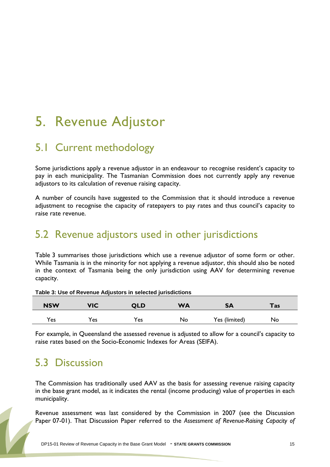## <span id="page-14-0"></span>5. Revenue Adjustor

### <span id="page-14-1"></span>5.1 Current methodology

Some jurisdictions apply a revenue adjustor in an endeavour to recognise resident's capacity to pay in each municipality. The Tasmanian Commission does not currently apply any revenue adjustors to its calculation of revenue raising capacity.

A number of councils have suggested to the Commission that it should introduce a revenue adjustment to recognise the capacity of ratepayers to pay rates and thus council's capacity to raise rate revenue.

#### <span id="page-14-2"></span>5.2 Revenue adjustors used in other jurisdictions

Table 3 summarises those jurisdictions which use a revenue adjustor of some form or other. While Tasmania is in the minority for not applying a revenue adjustor, this should also be noted in the context of Tasmania being the only jurisdiction using AAV for determining revenue capacity.

| <b>NSW</b> | VIC             | QLD | <b>WA</b> | <b>SA</b>     | Tas |  |
|------------|-----------------|-----|-----------|---------------|-----|--|
| Yes        | $Y_{\text{es}}$ | 'es | No        | Yes (limited) | No  |  |

**Table 3: Use of Revenue Adjustors in selected jurisdictions**

For example, in Queensland the assessed revenue is adjusted to allow for a council's capacity to raise rates based on the Socio-Economic Indexes for Areas (SEIFA).

## <span id="page-14-3"></span>5.3 Discussion

The Commission has traditionally used AAV as the basis for assessing revenue raising capacity in the base grant model, as it indicates the rental (income producing) value of properties in each municipality.

Revenue assessment was last considered by the Commission in 2007 (see the Discussion Paper 07-01). That Discussion Paper referred to the *Assessment of Revenue-Raising Capacity of*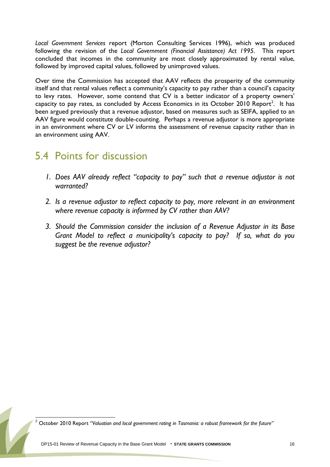*Local Government Services* report (Morton Consulting Services 1996), which was produced following the revision of the *Local Government (Financial Assistance) Act 1995*. This report concluded that incomes in the community are most closely approximated by rental value, followed by improved capital values, followed by unimproved values.

Over time the Commission has accepted that AAV reflects the prosperity of the community itself and that rental values reflect a community's capacity to pay rather than a council's capacity to levy rates. However, some contend that CV is a better indicator of a property owners' capacity to pay rates, as concluded by Access Economics in its October [2](#page-9-3)010 Report<sup>2</sup>. It has been argued previously that a revenue adjustor, based on measures such as SEIFA, applied to an AAV figure would constitute double-counting. Perhaps a revenue adjustor is more appropriate in an environment where CV or LV informs the assessment of revenue capacity rather than in an environment using AAV.

### <span id="page-15-0"></span>5.4 Points for discussion

- *1. Does AAV already reflect "capacity to pay" such that a revenue adjustor is not warranted?*
- *2. Is a revenue adjustor to reflect capacity to pay, more relevant in an environment where revenue capacity is informed by CV rather than AAV?*
- *3. Should the Commission consider the inclusion of a Revenue Adjustor in its Base Grant Model to reflect a municipality's capacity to pay? If so, what do you suggest be the revenue adjustor?*

<sup>2</sup> October 2010 Report *"Valuation and local government rating in Tasmania: a robust framework for the future"*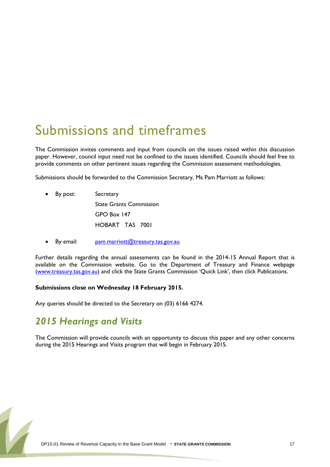## <span id="page-16-0"></span>Submissions and timeframes

The Commission invites comments and input from councils on the issues raised within this discussion paper. However, council input need not be confined to the issues identified. Councils should feel free to provide comments on other pertinent issues regarding the Commission assessment methodologies.

Submissions should be forwarded to the Commission Secretary, Ms Pam Marriott as follows:

- By post: Secretary State Grants Commission GPO Box 147 HOBART TAS 7001
- By email: [pam.marriott@treasury.tas.gov.au](mailto:pam.marriott@treasury.tas.gov.au)

Further details regarding the annual assessments can be found in the 2014-15 Annual Report that is available on the Commission website. Go to the Department of Treasury and Finance webpage [\(www.treasury.tas.gov.au\)](http://www.treasury.tas.gov.au/) and click the State Grants Commission 'Quick Link', then click Publications.

#### **Submissions close on Wednesday 18 February 2015.**

Any queries should be directed to the Secretary on (03) 6166 4274.

#### *2015 Hearings and Visits*

The Commission will provide councils with an opportunity to discuss this paper and any other concerns during the 2015 Hearings and Visits program that will begin in February 2015.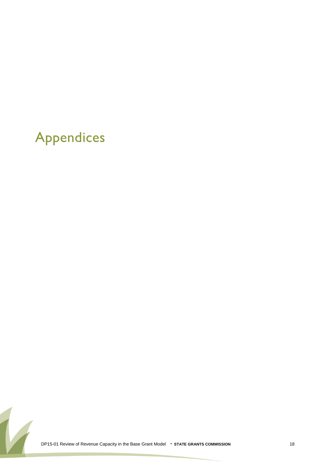## <span id="page-17-0"></span>Appendices

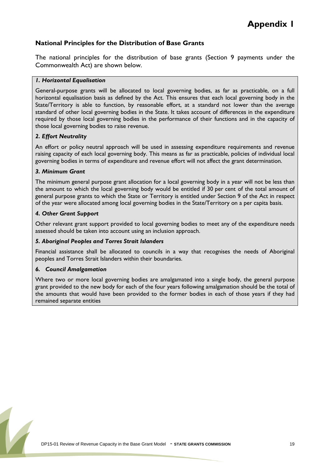#### **National Principles for the Distribution of Base Grants**

The national principles for the distribution of base grants (Section 9 payments under the Commonwealth Act) are shown below.

#### *1. Horizontal Equalisation*

General-purpose grants will be allocated to local governing bodies, as far as practicable, on a full horizontal equalisation basis as defined by the Act. This ensures that each local governing body in the State/Territory is able to function, by reasonable effort, at a standard not lower than the average standard of other local governing bodies in the State. It takes account of differences in the expenditure required by those local governing bodies in the performance of their functions and in the capacity of those local governing bodies to raise revenue.

#### *2. Effort Neutrality*

An effort or policy neutral approach will be used in assessing expenditure requirements and revenue raising capacity of each local governing body. This means as far as practicable, policies of individual local governing bodies in terms of expenditure and revenue effort will not affect the grant determination.

#### *3. Minimum Grant*

The minimum general purpose grant allocation for a local governing body in a year will not be less than the amount to which the local governing body would be entitled if 30 per cent of the total amount of general purpose grants to which the State or Territory is entitled under Section 9 of the Act in respect of the year were allocated among local governing bodies in the State/Territory on a per capita basis.

#### *4. Other Grant Support*

Other relevant grant support provided to local governing bodies to meet any of the expenditure needs assessed should be taken into account using an inclusion approach.

#### *5. Aboriginal Peoples and Torres Strait Islanders*

Financial assistance shall be allocated to councils in a way that recognises the needs of Aboriginal peoples and Torres Strait Islanders within their boundaries.

#### *6. Council Amalgamation*

Where two or more local governing bodies are amalgamated into a single body, the general purpose grant provided to the new body for each of the four years following amalgamation should be the total of the amounts that would have been provided to the former bodies in each of those years if they had remained separate entities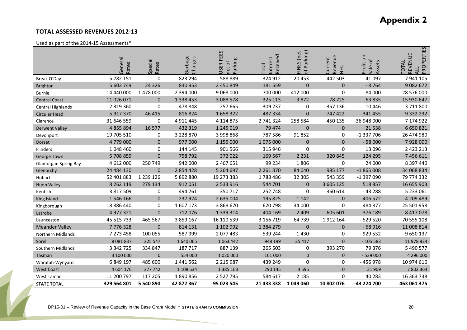#### **TOTAL ASSESSED REVENUES 2012-13**

#### Used as part of the 2014-15 Assessments\*

|                             | General<br>Rates | <b>Special</b><br>Rates | Garbage<br>Charges | <b>FEES</b><br>Parking<br>net of<br><b>USER</b> | Received<br>nterest<br><b>lepo</b> | of Parking)<br>FINES (net | Revenue<br>Current<br>NEC | Profit on<br>Sale of<br>Assets | PROPERTIES<br>REVENUE<br><b>TOTAL</b><br><b>ALL</b> |
|-----------------------------|------------------|-------------------------|--------------------|-------------------------------------------------|------------------------------------|---------------------------|---------------------------|--------------------------------|-----------------------------------------------------|
| Break O'Day                 | 5 782 151        | $\Omega$                | 823 294            | 588 889                                         | 324 912                            | 20 453                    | 442 503                   | $-41097$                       | 7 941 105                                           |
| <b>Brighton</b>             | 5 603 749        | 24 3 26                 | 830 953            | 2 450 849                                       | 181 559                            | $\mathbf 0$               | $\mathbf 0$               | $-8764$                        | 9 0 8 2 6 7 2                                       |
| <b>Burnie</b>               | 14 440 000       | 1 478 000               | 2 394 000          | 9 068 000                                       | 700 000                            | 412 000                   | $\mathbf 0$               | 84 000                         | 28 576 000                                          |
| <b>Central Coast</b>        | 11 026 071       | $\Omega$                | 1 3 3 4 4 5 3      | 3 088 578                                       | 325 113                            | 9872                      | 78725                     | 63 835                         | 15 930 647                                          |
| Central Highlands           | 2 3 1 9 3 6 0    | 0                       | 478 848            | 257 665                                         | 309 237                            | 0                         | 357 136                   | $-10446$                       | 3711800                                             |
| Circular Head               | 5 917 370        | 46 415                  | 816824             | 1658322                                         | 487 334                            | $\mathbf{0}$              | 747 422                   | $-341455$                      | 9 3 3 2 2 3 2                                       |
| Clarence                    | 31 646 559       | $\mathbf 0$             | 4 9 1 1 4 4 5      | 4 1 1 4 8 7 5                                   | 2 741 324                          | 258 584                   | 450 135                   | -36 948 000                    | 7 174 922                                           |
| <b>Derwent Valley</b>       | 4 855 894        | 16 577                  | 432 319            | 1 245 019                                       | 79 474                             | $\Omega$                  | $\mathbf{0}$              | 21 5 38                        | 6 650 821                                           |
| Devonport                   | 19 705 510       | $\mathbf 0$             | 3 228 870          | 3 998 868                                       | 787 586                            | 91 852                    | 0                         | $-1337706$                     | 26 474 980                                          |
| Dorset                      | 4779000          | $\Omega$                | 977000             | 1 155 000                                       | 1075000                            | $\Omega$                  | $\mathbf{0}$              | $-58000$                       | 7928000                                             |
| Flinders                    | 1 048 460        | 0                       | 144 145            | 901 566                                         | 315 946                            | 0                         | $\mathbf 0$               | 13 0 96                        | 2 4 2 3 2 1 3                                       |
| George Town                 | 5708859          | $\mathbf 0$             | 758 792            | 372 022                                         | 169 567                            | 2 2 3 1                   | 320 845                   | 124 295                        | 7 456 611                                           |
| <b>Glamorgan Spring Bay</b> | 4 612 000        | 250 749                 | 942 000            | 2 467 651                                       | 99 234                             | 1806                      | $\mathbf 0$               | 24 000                         | 8 397 440                                           |
| Glenorchy                   | 24 484 130       | $\Omega$                | 2 854 428          | 5 264 697                                       | 2 2 6 1 3 7 0                      | 84 040                    | 985 177                   | $-1865008$                     | 34 068 834                                          |
| Hobart                      | 52 401 883       | 1 239 126               | 5 892 880          | 19 273 383                                      | 1788486                            | 32 30 5                   | 543 359                   | -1 397 090                     | 79 774 332                                          |
| <b>Huon Valley</b>          | 8 2 6 2 1 1 9    | 279 134                 | 912 051            | 2 533 916                                       | 544 701                            | $\mathbf{0}$              | 3 605 125                 | 518 857                        | 16 655 903                                          |
| Kentish                     | 3 817 509        | 0                       | 494 761            | 350 717                                         | 252 748                            | 0                         | 360 614                   | $-43288$                       | 5 233 061                                           |
| King Island                 | 1 546 166        | $\Omega$                | 237924             | 2 635 004                                       | 195 825                            | 1 1 4 2                   | $\mathbf{0}$              | $-406572$                      | 4 209 489                                           |
| Kingborough                 | 18 886 440       | $\mathbf 0$             | 1607173            | 3 868 670                                       | 620 798                            | 34 000                    | $\mathbf 0$               | 484 877                        | 25 501 958                                          |
| Latrobe                     | 4 977 321        | $\Omega$                | 712076             | 1 3 3 9 3 1 4                                   | 404 169                            | 2 4 0 9                   | 605 601                   | 376 189                        | 8 417 078                                           |
| Launceston                  | 45 515 733       | 465 567                 | 3 859 167          | 16 110 539                                      | 3 156 719                          | 64 739                    | 1912 164                  | $-529520$                      | 70 555 108                                          |
| <b>Meander Valley</b>       | 7776328          | $\mathbf{0}$            | 814 131            | 1 102 992                                       | 1 3 8 4 2 7 9                      | $\mathbf 0$               | $\mathbf 0$               | $-68916$                       | 11 008 814                                          |
| <b>Northern Midlands</b>    | 7 273 458        | 100 055                 | 587 999            | 2 077 483                                       | 539 244                            | 1430                      | $\mathbf 0$               | $-929532$                      | 9 650 137                                           |
| Sorell                      | 8 0 8 1 8 3 7    | 325 547                 | 1 640 065          | 1 063 442                                       | 948 199                            | 25 4 17                   | $\mathbf 0$               | $-105583$                      | 11 978 924                                          |
| Southern Midlands           | 3 342 725        | 334 847                 | 187 717            | 887 139                                         | 265 503                            | 0                         | 393 270                   | 79 376                         | 5 490 577                                           |
| Tasman                      | 3 100 000        | $\pmb{0}$               | 554 000            | 1 020 000                                       | 161 000                            | $\mathbf{0}$              | $\mathbf{0}$              | $-539000$                      | 4 296 000                                           |
| Waratah-Wynyard             | 6 849 197        | 485 600                 | 1 441 562          | 2 2 1 5 9 8 7                                   | 439 249                            | $\mathbf 0$               | 0                         | -456978                        | 10 974 616                                          |
| <b>West Coast</b>           | 4 604 176        | 377 742                 | 1 108 634          | 1 385 163                                       | 290 145                            | 4595                      | $\mathbf{0}$              | 31 909                         | 7 802 364                                           |
| <b>West Tamar</b>           | 11 200 797       | 117 205                 | 1890856            | 2 5 2 7 7 9 5                                   | 584 617                            | 2 1 8 5                   | 0                         | 40 283                         | 16 363 738                                          |
| <b>STATE TOTAL</b>          | 329 564 801      | 5 540 890               | 42 872 367         | 95 023 545                                      | 21 433 338                         | 1049060                   | 10 802 076                | -43 224 700                    | 463 061 375                                         |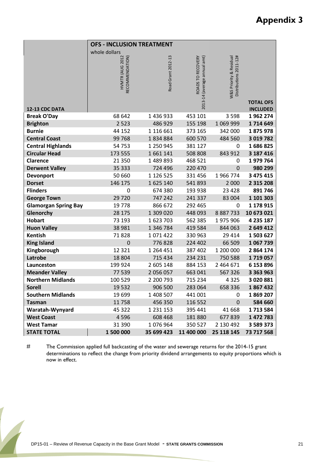|                             | <b>OFS - INCLUSION TREATMENT</b>   |                    |                                                   |                                                                  |                                     |
|-----------------------------|------------------------------------|--------------------|---------------------------------------------------|------------------------------------------------------------------|-------------------------------------|
|                             | whole dollars                      |                    |                                                   |                                                                  |                                     |
| 12-13 CDC DATA              | HVMTR (AUG 2012<br>RECOMMENDATION) | Road Grant 2012-13 | ROADS TO RECOVERY<br>2013-14 (average annual amt) | Distributions 2011-12#<br><b>N&amp;S Priority &amp; Residual</b> | <b>TOTAL OFS</b><br><b>INCLUDED</b> |
| <b>Break O'Day</b>          | 68 642                             | 1 436 933          | 453 101                                           | 3 5 9 8                                                          | 1962274                             |
| <b>Brighton</b>             | 2 5 2 3                            | 486 929            | 155 198                                           | 1 069 999                                                        | 1714649                             |
| <b>Burnie</b>               | 44 152                             | 1 116 661          | 373 165                                           | 342 000                                                          | 1875978                             |
| <b>Central Coast</b>        | 99768                              | 1834884            | 600 570                                           | 484 560                                                          | 3 019 782                           |
| <b>Central Highlands</b>    | 54753                              | 1 250 945          | 381 127                                           | 0                                                                | 1686825                             |
| <b>Circular Head</b>        | 173 555                            | 1661141            | 508 808                                           | 843 912                                                          | 3 187 416                           |
| Clarence                    | 21 3 5 0                           | 1 489 893          | 468 521                                           | 0                                                                | 1979764                             |
| <b>Derwent Valley</b>       | 35 333                             | 724 496            | 220 470                                           | $\mathbf 0$                                                      | 980 299                             |
| Devonport                   | 50 660                             | 1 126 525          | 331 456                                           | 1966774                                                          | 3 475 415                           |
| <b>Dorset</b>               | 146 175                            | 1625140            | 541893                                            | 2 0 0 0                                                          | 2 3 1 5 2 0 8                       |
| <b>Flinders</b>             | 0                                  | 674 380            | 193 938                                           | 23 4 28                                                          | 891746                              |
| <b>George Town</b>          | 29720                              | 747 242            | 241 337                                           | 83 004                                                           | 1 101 303                           |
| <b>Glamorgan Spring Bay</b> | 19778                              | 866 672            | 292 465                                           | 0                                                                | 1 178 915                           |
| Glenorchy                   | 28 175                             | 1 309 020          | 448 093                                           | 8 8 8 7 7 3 3                                                    | 10 673 021                          |
| <b>Hobart</b>               | 73 193                             | 1623703            | 562 385                                           | 1975906                                                          | 4 235 187                           |
| <b>Huon Valley</b>          | 38 981                             | 1 346 784          | 419 584                                           | 844 063                                                          | 2 649 412                           |
| Kentish                     | 71828                              | 1071422            | 330 963                                           | 29 4 14                                                          | 1503627                             |
| <b>King Island</b>          | $\mathbf 0$                        | 776828             | 224 402                                           | 66 509                                                           | 1 067 739                           |
| Kingborough                 | 12 3 2 1                           | 1 264 451          | 387 402                                           | 1 200 000                                                        | 2 864 174                           |
| Latrobe                     | 18 804                             | 715 434            | 234 231                                           | 750 588                                                          | 1719057                             |
| Launceston                  | 199 924                            | 2 605 148          | 884 153                                           | 2 4 6 4 6 7 1                                                    | 6 153 896                           |
| <b>Meander Valley</b>       | 77 539                             | 2 056 057          | 663 041                                           | 567326                                                           | 3 3 6 3 9 6 3                       |
| <b>Northern Midlands</b>    | 100 529                            | 2 200 793          | 715 234                                           | 4325                                                             | 3 020 881                           |
| <b>Sorell</b>               | 19532                              | 906 500            | 283 064                                           | 658 336                                                          | 1867432                             |
| <b>Southern Midlands</b>    | 19 699                             | 1 408 507          | 441 001                                           | 0                                                                | 1869207                             |
| <b>Tasman</b>               | 11758                              | 456 350            | 116 552                                           | $\mathbf 0$                                                      | 584 660                             |
| Waratah-Wynyard             | 45 322                             | 1 2 3 1 1 5 3      | 395 441                                           | 41 668                                                           | 1713584                             |
| <b>West Coast</b>           | 4596                               | 608 468            | 181880                                            | 677839                                                           | 1 472 783                           |
| <b>West Tamar</b>           | 31 390                             | 1076964            | 350 527                                           | 2 130 492                                                        | 3 589 373                           |
| <b>STATE TOTAL</b>          | 1 500 000                          | 35 699 423         | 11 400 000                                        | 25 118 145                                                       | 73 717 568                          |

# The Commission applied full backcasting of the water and sewerage returns for the 2014-15 grant determinations to reflect the change from priority dividend arrangements to equity proportions which is now in effect.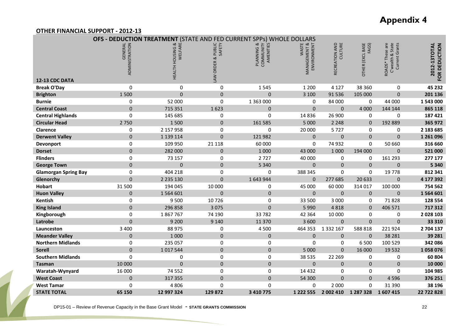#### **Appendix 4**

#### **OTHER FINANCIAL SUPPORT - 2012-13**

|                             |                           | <b>OFS - DEDUCTION TREATMENT</b> |                                 | (STATE AND FED CURRENT SPPs) WHOLE DOLLARS     |                                                 |                              |                                  |                                                              |                               |
|-----------------------------|---------------------------|----------------------------------|---------------------------------|------------------------------------------------|-------------------------------------------------|------------------------------|----------------------------------|--------------------------------------------------------------|-------------------------------|
| 12-13 CDC DATA              | GENERAL<br>ADMINISTRATION | HEALTH HOUSING &<br>WELFARE      | PUBLIC<br>SAFETY<br>LAW ORDER & | ಡ<br><b>COMMUNITY</b><br>AMENITIES<br>PLANNING | <b>WASTE</b><br>MANAGEMENT & :<br>ENVIRONMENT ( | CULTURE<br>AND<br>RECREATION | <b>OTHER (EXCL BASE</b><br>FAGS) | are<br>State<br>Current Grants<br>ROADS* These<br>C'wealth & | 2012-13TOTAL<br>FOR DEDUCTION |
| <b>Break O'Day</b>          | 0                         | 0                                | $\mathbf 0$                     | 1545                                           | 1 2 0 0                                         | 4 1 2 7                      | 38 360                           | 0                                                            | 45 232                        |
| <b>Brighton</b>             | 1500                      | $\overline{0}$                   | $\pmb{0}$                       | $\overline{0}$                                 | 3 100                                           | 91 536                       | 105 000                          | $\Omega$                                                     | 201 136                       |
| <b>Burnie</b>               | $\mathbf 0$               | 52 000                           | $\boldsymbol{0}$                | 1 363 000                                      | 0                                               | 84 000                       | $\mathbf 0$                      | 44 000                                                       | 1 543 000                     |
| <b>Central Coast</b>        | $\Omega$                  | 715 351                          | 1623                            | 0                                              | $\Omega$                                        | $\Omega$                     | 4 0 0 0                          | 144 144                                                      | 865 118                       |
| <b>Central Highlands</b>    | 0                         | 145 685                          | 0                               | 0                                              | 14 8 36                                         | 26 900                       | $\mathbf 0$                      | $\mathbf 0$                                                  | 187 421                       |
| <b>Circular Head</b>        | 2 7 5 0                   | 1500                             | $\pmb{0}$                       | 161 585                                        | 5 0 0 0                                         | 2 2 4 8                      | $\Omega$                         | 192 889                                                      | 365 972                       |
| Clarence                    | $\mathbf 0$               | 2 157 958                        | $\boldsymbol{0}$                | 0                                              | 20 000                                          | 5727                         | 0                                | 0                                                            | 2 183 685                     |
| <b>Derwent Valley</b>       | $\Omega$                  | 1 139 114                        | $\mathbf 0$                     | 121 982                                        | $\Omega$                                        | $\mathbf 0$                  | $\Omega$                         | $\Omega$                                                     | 1 261 096                     |
| Devonport                   | $\mathbf 0$               | 109 950                          | 21 118                          | 60 000                                         | 0                                               | 74 932                       | 0                                | 50 660                                                       | 316 660                       |
| <b>Dorset</b>               | $\Omega$                  | 282 000                          | $\mathbf{0}$                    | 1 0 0 0                                        | 43 000                                          | 1 0 0 0                      | 194 000                          | $\Omega$                                                     | 521 000                       |
| <b>Flinders</b>             | $\mathbf 0$               | 73 157                           | $\boldsymbol{0}$                | 2727                                           | 40 000                                          | 0                            | 0                                | 161 293                                                      | 277 177                       |
| <b>George Town</b>          | $\Omega$                  | $\Omega$                         | $\mathbf{0}$                    | 5 3 4 0                                        | $\Omega$                                        | $\Omega$                     | $\Omega$                         | $\Omega$                                                     | 5 3 4 0                       |
| <b>Glamorgan Spring Bay</b> | 0                         | 404 218                          | 0                               | 0                                              | 388 345                                         | 0                            | 0                                | 19 7 78                                                      | 812 341                       |
| Glenorchy                   | $\Omega$                  | 2 2 3 1 3 0                      | $\Omega$                        | 1643944                                        | $\Omega$                                        | 277 685                      | 20 633                           | $\Omega$                                                     | 4 177 392                     |
| <b>Hobart</b>               | 31 500                    | 194 045                          | 10 000                          | 0                                              | 45 000                                          | 60 000                       | 314 017                          | 100 000                                                      | 754 562                       |
| <b>Huon Valley</b>          | $\Omega$                  | 1 5 6 4 6 0 1                    | $\mathbf 0$                     | $\overline{0}$                                 | $\Omega$                                        | $\mathbf 0$                  | $\mathbf{0}$                     | $\mathbf{0}$                                                 | 1 564 601                     |
| Kentish                     | 0                         | 9500                             | 10726                           | $\Omega$                                       | 33 500                                          | 3 0 0 0                      | 0                                | 71828                                                        | 128 554                       |
| <b>King Island</b>          | $\overline{0}$            | 296 858                          | 3 0 7 5                         | $\overline{0}$                                 | 5 9 9 0                                         | 4818                         | $\Omega$                         | 406 571                                                      | 717 312                       |
| Kingborough                 | $\mathbf 0$               | 1867767                          | 74 190                          | 33782                                          | 42 3 64                                         | 10 000                       | 0                                | 0                                                            | 2 028 103                     |
| Latrobe                     | $\overline{0}$            | 9 200                            | 9 1 4 0                         | 11 370                                         | 3 600                                           | $\mathbf{0}$                 | $\Omega$                         | $\overline{0}$                                               | 33 310                        |
| Launceston                  | 3 4 0 0                   | 88 975                           | $\boldsymbol{0}$                | 4500                                           | 464 353                                         | 1 3 3 2 1 6 7                | 588818                           | 221924                                                       | 2 704 137                     |
| <b>Meander Valley</b>       | $\mathbf 0$               | 1 0 0 0                          | $\mathbf 0$                     | 0                                              | $\mathbf 0$                                     | $\pmb{0}$                    | $\mathbf 0$                      | 38 2 8 1                                                     | 39 28 1                       |
| <b>Northern Midlands</b>    | $\mathbf 0$               | 235 057                          | $\boldsymbol{0}$                | 0                                              | 0                                               | 0                            | 6 500                            | 100 529                                                      | 342 086                       |
| <b>Sorell</b>               | $\overline{0}$            | 1017544                          | $\pmb{0}$                       | $\Omega$                                       | 5 000                                           | $\mathbf{0}$                 | 16 000                           | 19532                                                        | 1058076                       |
| <b>Southern Midlands</b>    | 0                         | 0                                | 0                               | 0                                              | 38 535                                          | 22 269                       | 0                                | 0                                                            | 60 804                        |
| <b>Tasman</b>               | 10 000                    | $\overline{0}$                   | $\mathbf 0$                     | $\Omega$                                       | $\mathbf 0$                                     | $\mathbf 0$                  | $\Omega$                         | $\mathbf 0$                                                  | 10 000                        |
| Waratah-Wynyard             | 16 000                    | 74 552                           | 0                               | 0                                              | 14 4 32                                         | $\boldsymbol{0}$             | 0                                | 0                                                            | 104 985                       |
| <b>West Coast</b>           | $\mathbf{0}$              | 317 355                          | $\mathbf 0$                     | $\overline{0}$                                 | 54 300                                          | $\mathbf 0$                  | $\Omega$                         | 4596                                                         | 376 251                       |
| <b>West Tamar</b>           | $\mathbf 0$               | 4 8 0 6                          | 0                               | 0                                              | 0                                               | 2 0 0 0                      | 0                                | 31 390                                                       | 38 196                        |
| <b>STATE TOTAL</b>          | 65 150                    | 12 997 324                       | 129 872                         | 3 410 775                                      | 1 2 2 2 5 5 5                                   | 2 002 410                    | 1 287 328                        | 1607415                                                      | 22 722 828                    |

DP15-01 – Review of Revenue Capacity in the Base Grant Model - **STATE GRANTS COMMISSION** <sup>22</sup>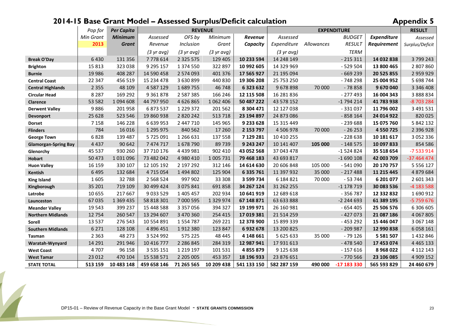#### **2014-15 Base Grant Model – Assessed Surplus/Deficit calculation Appendix 5**

|                             | Pop for   | <b>Per Capita</b> |                      | <b>REVENUE</b>       |                      |             |                      |            | <b>EXPENDITURE</b> |                    | <b>RESULT</b>   |
|-----------------------------|-----------|-------------------|----------------------|----------------------|----------------------|-------------|----------------------|------------|--------------------|--------------------|-----------------|
|                             | Min Grant | <b>Minimum</b>    | Assessed             | OFS by               | Minimum              | Revenue     | Assessed             |            | <b>BUDGET</b>      | <b>Expenditure</b> | Assessed        |
|                             | 2013      | <b>Grant</b>      | Revenue              | Inclusion            | Grant                | Capacity    | Expenditure          | Allowances | <b>RESULT</b>      | Requirement        | Surplus/Deficit |
|                             |           |                   | $(3 \text{ yr}$ avg) | $(3 \text{ yr}$ avg) | $(3 \text{ yr}$ avg) |             | $(3 \text{ yr}$ avg) |            | <b>TERM</b>        |                    |                 |
| <b>Break O'Day</b>          | 6430      | 131 356           | 7778614              | 2 3 2 5 5 7 5        | 129 405              | 10 233 594  | 14 248 149           |            | $-215311$          | 14 032 838         | 3799243         |
| <b>Brighton</b>             | 15 8 13   | 323 038           | 9 295 157            | 1 374 550            | 322 897              | 10 992 605  | 14 329 969           |            | $-529504$          | 13 800 465         | 2 807 860       |
| <b>Burnie</b>               | 19 9 86   | 408 287           | 14 590 458           | 2 574 093            | 401 376              | 17 565 927  | 21 195 094           |            | $-669239$          | 20 525 855         | 2 959 929       |
| <b>Central Coast</b>        | 22 347    | 456 519           | 15 234 478           | 3 630 899            | 440 830              | 19 306 208  | 25 753 250           |            | $-748298$          | 25 004 952         | 5 698 744       |
| <b>Central Highlands</b>    | 2 3 5 5   | 48 109            | 4 5 8 7 1 2 9        | 1689755              | 46748                | 6 323 632   | 9678898              | 70 000     | $-78858$           | 9 670 040          | 3 346 408       |
| <b>Circular Head</b>        | 8 2 8 7   | 169 292           | 9 3 6 1 8 7 8        | 2 5 8 7 3 8 5        | 166 246              | 12 115 508  | 16 281 836           |            | $-277493$          | 16 004 343         | 3 888 834       |
| <b>Clarence</b>             | 53 582    | 1 094 608         | 44 797 950           | 4 6 2 6 8 6 5        | 1 062 406            | 50 487 222  | 43 578 152           |            | $-1794214$         | 41 783 938         | -8 703 284      |
| <b>Derwent Valley</b>       | 9886      | 201958            | 6873537              | 1 2 2 9 3 7 2        | 201 562              | 8 304 471   | 12 127 038           |            | $-331037$          | 11 796 002         | 3 491 531       |
| <b>Devonport</b>            | 25 6 28   | 523 546           | 19 860 938           | 2 8 2 0 2 4 2        | 513718               | 23 194 897  | 24 873 086           |            | $-858164$          | 24 014 922         | 820025          |
| <b>Dorset</b>               | 7 1 5 8   | 146 228           | 6 639 953            | 2 447 710            | 145 965              | 9 233 628   | 15 315 449           |            | $-239688$          | 15 075 760         | 5 842 132       |
| <b>Flinders</b>             | 784       | 16 0 16           | 1 295 975            | 840 562              | 17 260               | 2 153 797   | 4 506 978            | 70 000     | $-26253$           | 4 5 5 0 7 2 5      | 2 396 928       |
| <b>George Town</b>          | 6828      | 139 487           | 5725091              | 1 266 631            | 137 558              | 7 129 281   | 10 410 255           |            | $-228638$          | 10 181 617         | 3 0 5 2 3 3 6   |
| <b>Glamorgan-Spring Bay</b> | 4 4 3 7   | 90 642            | 7 474 717            | 1678790              | 89739                | 9 243 247   | 10 141 407           | 105 000    | $-148575$          | 10 097 833         | 854 586         |
| Glenorchy                   | 45 537    | 930 260           | 37 710 176           | 4 4 3 9 9 8 1        | 902 410              | 43 052 568  | 37 043 478           |            | $-1524824$         | 35 518 654         | $-7533914$      |
| <b>Hobart</b>               | 50 473    | 1031096           | 73 482 042           | 4 980 410            | 1 005 731            | 79 468 183  | 43 693 817           |            | $-1690108$         | 42 003 709         | -37 464 474     |
| <b>Huon Valley</b>          | 16 15 9   | 330 107           | 12 105 192           | 2 197 292            | 312 146              | 14 614 630  | 20 606 848           | 105 000    | $-541090$          | 20 170 757         | 5 5 5 6 1 2 7   |
| Kentish                     | 6 4 9 5   | 132 684           | 4715054              | 1 494 802            | 125 904              | 6 335 761   | 11 397 932           | 35 000     | $-217488$          | 11 215 445         | 4 879 684       |
| <b>King Island</b>          | 1605      | 32788             | 2 5 6 8 5 2 4        | 997 902              | 33 308               | 3 599 734   | 6 184 821            | 70 000     | $-53744$           | 6 201 077          | 2 601 343       |
| Kingborough                 | 35 201    | 719 109           | 30 499 424           | 3 0 7 5 8 4 1        | 691858               | 34 267 124  | 31 262 255           |            | $-1$ 178 719       | 30 083 536         | -4 183 588      |
| Latrobe                     | 10 655    | 217 667           | 9 0 3 5 5 2 9        | 1 405 457            | 202 934              | 10 641 919  | 12 689 618           |            | $-356787$          | 12 332 832         | 1690912         |
| Launceston                  | 67 035    | 1 369 435         | 58 818 301           | 7 000 595            | 1 3 2 9 9 7 4        | 67 148 871  | 63 633 888           |            | $-2244693$         | 61 389 195         | -5 759 676      |
| <b>Meander Valley</b>       | 19 5 43   | 399 237           | 15 448 588           | 3 3 5 7 0 5 6        | 394 327              | 19 199 971  | 26 160 981           |            | $-654405$          | 25 506 576         | 6 306 605       |
| <b>Northern Midlands</b>    | 12 754    | 260 547           | 13 294 607           | 3 470 360            | 254 415              | 17 019 381  | 21 514 259           |            | $-427073$          | 21 087 186         | 4 0 6 7 8 0 5   |
| Sorell                      | 13 5 37   | 276 543           | 10 554 891           | 1554787              | 269 221              | 12 378 900  | 15 899 339           |            | $-453292$          | 15 446 047         | 3 067 148       |
| <b>Southern Midlands</b>    | 6 2 7 1   | 128 108           | 4 8 9 6 4 5 1        | 1912380              | 123 847              | 6932678     | 13 200 825           |            | $-209987$          | 12 990 838         | 6 058 161       |
| Tasman                      | 2 3 6 3   | 48 273            | 3 5 2 4 9 9 2        | 575 225              | 48 4 45              | 4 148 661   | 5 625 633            | 35 000     | - 79 126           | 5 5 8 1 5 0 7      | 1432846         |
| Waratah-Wynyard             | 14 29 1   | 291 946           | 10 416 777           | 2 2 8 6 8 4 5        | 284 319              | 12 987 941  | 17 931 613           |            | $-478540$          | 17 453 074         | 4 4 6 5 1 3 3   |
| <b>West Coast</b>           | 4707      | 96 158            | 3 5 3 5 1 5 1        | 1 2 1 9 1 9 7        | 101 531              | 4 855 879   | 9 125 638            |            | $-157616$          | 8968022            | 4 112 143       |
| <b>West Tamar</b>           | 23 012    | 470 104           | 15 538 571           | 2 2 0 5 0 0 5        | 453 357              | 18 196 933  | 23 876 651           |            | $-770566$          | 23 106 085         | 4 909 152       |
| <b>STATE TOTAL</b>          | 513 159   | 10 483 148        | 459 658 146          | 71 265 565           | 10 209 438           | 541 133 150 | 582 287 159          | 490 000    | -17 183 330        | 565 593 829        | 24 460 679      |